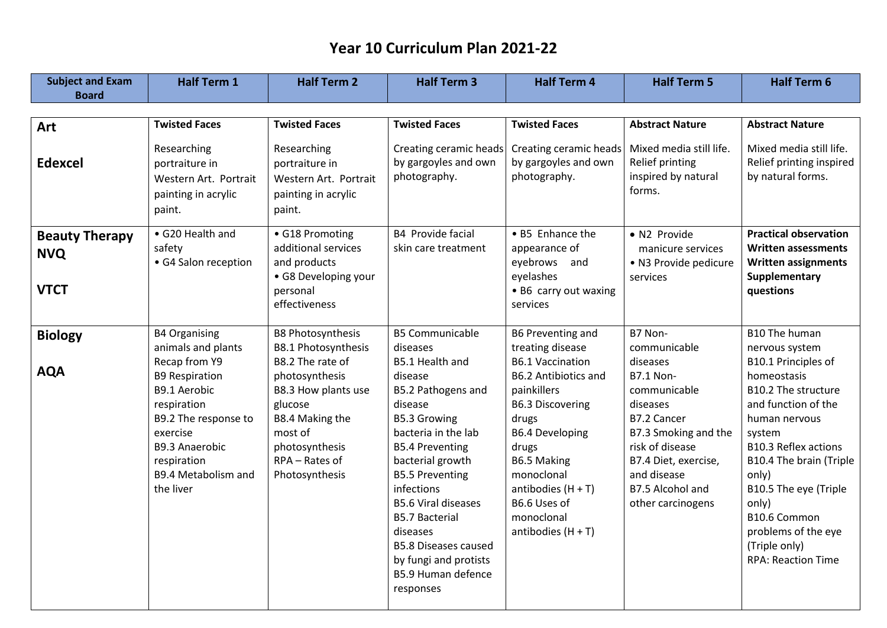| <b>Subject and Exam</b>                            | <b>Half Term 1</b>                                                                                                                                                                                                                  | <b>Half Term 2</b>                                                                                                                                                                                                 | <b>Half Term 3</b>                                                                                                                                                                                                                                                                                                                                                                                         | <b>Half Term 4</b>                                                                                                                                                                                                                                                                                      | <b>Half Term 5</b>                                                                                                                                                                                                            | <b>Half Term 6</b>                                                                                                                                                                                                                                                                                                                       |
|----------------------------------------------------|-------------------------------------------------------------------------------------------------------------------------------------------------------------------------------------------------------------------------------------|--------------------------------------------------------------------------------------------------------------------------------------------------------------------------------------------------------------------|------------------------------------------------------------------------------------------------------------------------------------------------------------------------------------------------------------------------------------------------------------------------------------------------------------------------------------------------------------------------------------------------------------|---------------------------------------------------------------------------------------------------------------------------------------------------------------------------------------------------------------------------------------------------------------------------------------------------------|-------------------------------------------------------------------------------------------------------------------------------------------------------------------------------------------------------------------------------|------------------------------------------------------------------------------------------------------------------------------------------------------------------------------------------------------------------------------------------------------------------------------------------------------------------------------------------|
| <b>Board</b>                                       |                                                                                                                                                                                                                                     |                                                                                                                                                                                                                    |                                                                                                                                                                                                                                                                                                                                                                                                            |                                                                                                                                                                                                                                                                                                         |                                                                                                                                                                                                                               |                                                                                                                                                                                                                                                                                                                                          |
|                                                    |                                                                                                                                                                                                                                     |                                                                                                                                                                                                                    |                                                                                                                                                                                                                                                                                                                                                                                                            |                                                                                                                                                                                                                                                                                                         |                                                                                                                                                                                                                               |                                                                                                                                                                                                                                                                                                                                          |
| Art                                                | <b>Twisted Faces</b>                                                                                                                                                                                                                | <b>Twisted Faces</b>                                                                                                                                                                                               | <b>Twisted Faces</b>                                                                                                                                                                                                                                                                                                                                                                                       | <b>Twisted Faces</b>                                                                                                                                                                                                                                                                                    | <b>Abstract Nature</b>                                                                                                                                                                                                        | <b>Abstract Nature</b>                                                                                                                                                                                                                                                                                                                   |
| <b>Edexcel</b>                                     | Researching<br>portraiture in<br>Western Art. Portrait<br>painting in acrylic<br>paint.                                                                                                                                             | Researching<br>portraiture in<br>Western Art. Portrait<br>painting in acrylic<br>paint.                                                                                                                            | Creating ceramic heads<br>by gargoyles and own<br>photography.                                                                                                                                                                                                                                                                                                                                             | Creating ceramic heads<br>by gargoyles and own<br>photography.                                                                                                                                                                                                                                          | Mixed media still life.<br>Relief printing<br>inspired by natural<br>forms.                                                                                                                                                   | Mixed media still life.<br>Relief printing inspired<br>by natural forms.                                                                                                                                                                                                                                                                 |
| <b>Beauty Therapy</b><br><b>NVQ</b><br><b>VTCT</b> | • G20 Health and<br>safety<br>• G4 Salon reception                                                                                                                                                                                  | • G18 Promoting<br>additional services<br>and products<br>· G8 Developing your<br>personal<br>effectiveness                                                                                                        | B4 Provide facial<br>skin care treatment                                                                                                                                                                                                                                                                                                                                                                   | • B5 Enhance the<br>appearance of<br>eyebrows and<br>eyelashes<br>• B6 carry out waxing<br>services                                                                                                                                                                                                     | • N2 Provide<br>manicure services<br>· N3 Provide pedicure<br>services                                                                                                                                                        | <b>Practical observation</b><br>Written assessments<br><b>Written assignments</b><br>Supplementary<br>questions                                                                                                                                                                                                                          |
| <b>Biology</b><br><b>AQA</b>                       | <b>B4 Organising</b><br>animals and plants<br>Recap from Y9<br><b>B9 Respiration</b><br><b>B9.1 Aerobic</b><br>respiration<br>B9.2 The response to<br>exercise<br>B9.3 Anaerobic<br>respiration<br>B9.4 Metabolism and<br>the liver | <b>B8 Photosynthesis</b><br><b>B8.1 Photosynthesis</b><br>B8.2 The rate of<br>photosynthesis<br>B8.3 How plants use<br>glucose<br>B8.4 Making the<br>most of<br>photosynthesis<br>RPA - Rates of<br>Photosynthesis | <b>B5 Communicable</b><br>diseases<br>B5.1 Health and<br>disease<br>B5.2 Pathogens and<br>disease<br><b>B5.3 Growing</b><br>bacteria in the lab<br><b>B5.4 Preventing</b><br>bacterial growth<br><b>B5.5 Preventing</b><br>infections<br><b>B5.6 Viral diseases</b><br><b>B5.7 Bacterial</b><br>diseases<br><b>B5.8 Diseases caused</b><br>by fungi and protists<br><b>B5.9 Human defence</b><br>responses | B6 Preventing and<br>treating disease<br><b>B6.1 Vaccination</b><br><b>B6.2 Antibiotics and</b><br>painkillers<br><b>B6.3 Discovering</b><br>drugs<br><b>B6.4 Developing</b><br>drugs<br><b>B6.5 Making</b><br>monoclonal<br>antibodies $(H + T)$<br>B6.6 Uses of<br>monoclonal<br>antibodies $(H + T)$ | B7 Non-<br>communicable<br>diseases<br><b>B7.1 Non-</b><br>communicable<br>diseases<br>B7.2 Cancer<br>B7.3 Smoking and the<br>risk of disease<br>B7.4 Diet, exercise,<br>and disease<br>B7.5 Alcohol and<br>other carcinogens | B10 The human<br>nervous system<br>B10.1 Principles of<br>homeostasis<br>B10.2 The structure<br>and function of the<br>human nervous<br>system<br><b>B10.3 Reflex actions</b><br>B10.4 The brain (Triple<br>only)<br>B10.5 The eye (Triple<br>only)<br>B10.6 Common<br>problems of the eye<br>(Triple only)<br><b>RPA: Reaction Time</b> |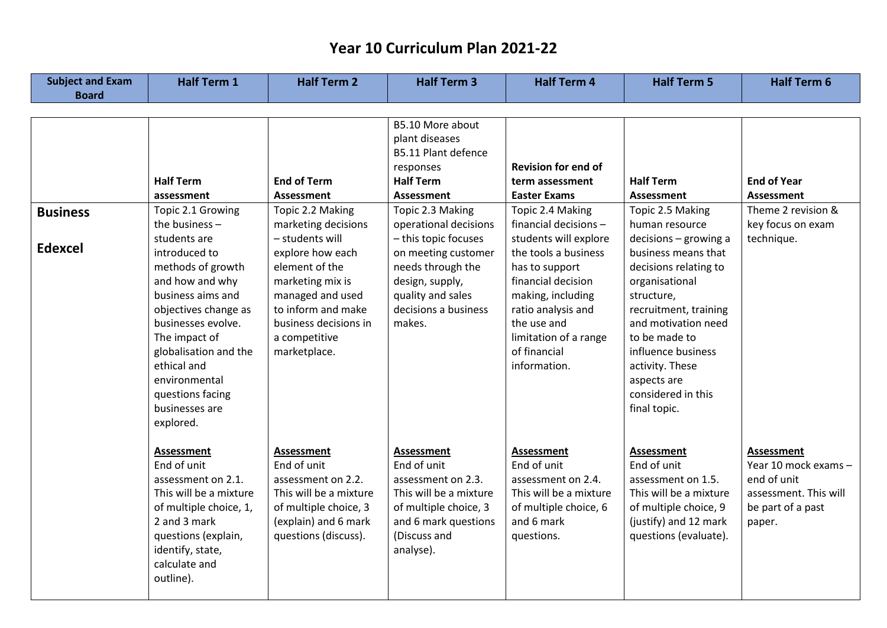| <b>Subject and Exam</b>           | <b>Half Term 1</b>                                                                                                                                                                                                                                                                                                                             | <b>Half Term 2</b>                                                                                                                                                                                                                                                  | <b>Half Term 3</b>                                                                                                                                                                                                                                                                                                | <b>Half Term 4</b>                                                                                                                                                                                                                                                                                                            | <b>Half Term 5</b>                                                                                                                                                                                                                                                                                                                                  | <b>Half Term 6</b>                                                                                               |
|-----------------------------------|------------------------------------------------------------------------------------------------------------------------------------------------------------------------------------------------------------------------------------------------------------------------------------------------------------------------------------------------|---------------------------------------------------------------------------------------------------------------------------------------------------------------------------------------------------------------------------------------------------------------------|-------------------------------------------------------------------------------------------------------------------------------------------------------------------------------------------------------------------------------------------------------------------------------------------------------------------|-------------------------------------------------------------------------------------------------------------------------------------------------------------------------------------------------------------------------------------------------------------------------------------------------------------------------------|-----------------------------------------------------------------------------------------------------------------------------------------------------------------------------------------------------------------------------------------------------------------------------------------------------------------------------------------------------|------------------------------------------------------------------------------------------------------------------|
| <b>Board</b>                      |                                                                                                                                                                                                                                                                                                                                                |                                                                                                                                                                                                                                                                     |                                                                                                                                                                                                                                                                                                                   |                                                                                                                                                                                                                                                                                                                               |                                                                                                                                                                                                                                                                                                                                                     |                                                                                                                  |
| <b>Business</b><br><b>Edexcel</b> | <b>Half Term</b><br>assessment<br>Topic 2.1 Growing<br>the business -<br>students are<br>introduced to<br>methods of growth<br>and how and why<br>business aims and<br>objectives change as<br>businesses evolve.<br>The impact of<br>globalisation and the<br>ethical and<br>environmental<br>questions facing<br>businesses are<br>explored. | <b>End of Term</b><br><b>Assessment</b><br>Topic 2.2 Making<br>marketing decisions<br>- students will<br>explore how each<br>element of the<br>marketing mix is<br>managed and used<br>to inform and make<br>business decisions in<br>a competitive<br>marketplace. | B5.10 More about<br>plant diseases<br><b>B5.11 Plant defence</b><br>responses<br><b>Half Term</b><br><b>Assessment</b><br>Topic 2.3 Making<br>operational decisions<br>- this topic focuses<br>on meeting customer<br>needs through the<br>design, supply,<br>quality and sales<br>decisions a business<br>makes. | <b>Revision for end of</b><br>term assessment<br><b>Easter Exams</b><br>Topic 2.4 Making<br>financial decisions -<br>students will explore<br>the tools a business<br>has to support<br>financial decision<br>making, including<br>ratio analysis and<br>the use and<br>limitation of a range<br>of financial<br>information. | <b>Half Term</b><br><b>Assessment</b><br>Topic 2.5 Making<br>human resource<br>decisions - growing a<br>business means that<br>decisions relating to<br>organisational<br>structure,<br>recruitment, training<br>and motivation need<br>to be made to<br>influence business<br>activity. These<br>aspects are<br>considered in this<br>final topic. | <b>End of Year</b><br><b>Assessment</b><br>Theme 2 revision &<br>key focus on exam<br>technique.                 |
|                                   | <b>Assessment</b><br>End of unit<br>assessment on 2.1.<br>This will be a mixture<br>of multiple choice, 1,<br>2 and 3 mark<br>questions (explain,<br>identify, state,<br>calculate and<br>outline).                                                                                                                                            | <b>Assessment</b><br>End of unit<br>assessment on 2.2.<br>This will be a mixture<br>of multiple choice, 3<br>(explain) and 6 mark<br>questions (discuss).                                                                                                           | <b>Assessment</b><br>End of unit<br>assessment on 2.3.<br>This will be a mixture<br>of multiple choice, 3<br>and 6 mark questions<br>(Discuss and<br>analyse).                                                                                                                                                    | <b>Assessment</b><br>End of unit<br>assessment on 2.4.<br>This will be a mixture<br>of multiple choice, 6<br>and 6 mark<br>questions.                                                                                                                                                                                         | <b>Assessment</b><br>End of unit<br>assessment on 1.5.<br>This will be a mixture<br>of multiple choice, 9<br>(justify) and 12 mark<br>questions (evaluate).                                                                                                                                                                                         | <b>Assessment</b><br>Year 10 mock exams -<br>end of unit<br>assessment. This will<br>be part of a past<br>paper. |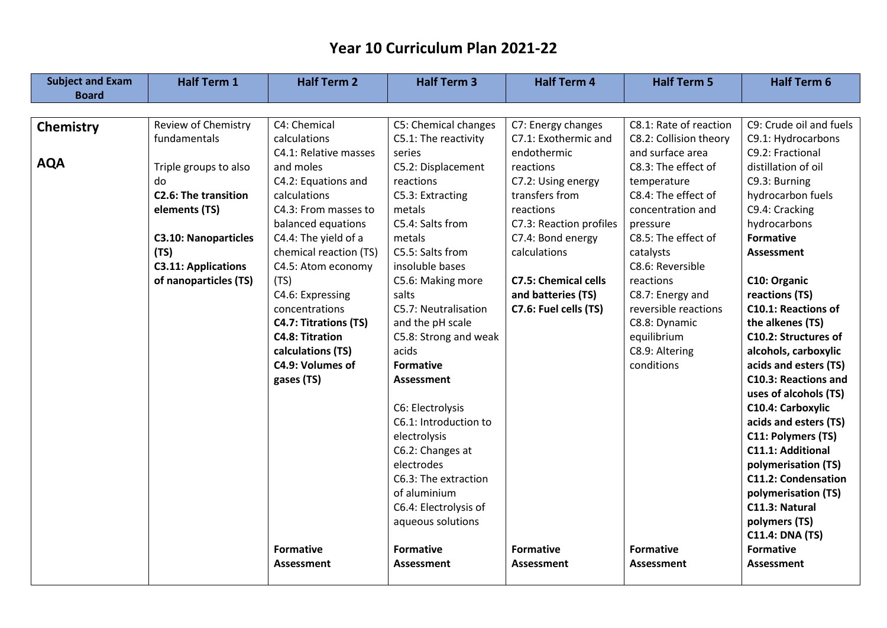| <b>Subject and Exam</b> | <b>Half Term 1</b>          | <b>Half Term 2</b>     | <b>Half Term 3</b>    | <b>Half Term 4</b>          | <b>Half Term 5</b>     | <b>Half Term 6</b>          |
|-------------------------|-----------------------------|------------------------|-----------------------|-----------------------------|------------------------|-----------------------------|
| <b>Board</b>            |                             |                        |                       |                             |                        |                             |
|                         |                             |                        |                       |                             |                        |                             |
| <b>Chemistry</b>        | Review of Chemistry         | C4: Chemical           | C5: Chemical changes  | C7: Energy changes          | C8.1: Rate of reaction | C9: Crude oil and fuels     |
|                         | fundamentals                | calculations           | C5.1: The reactivity  | C7.1: Exothermic and        | C8.2: Collision theory | C9.1: Hydrocarbons          |
|                         |                             | C4.1: Relative masses  | series                | endothermic                 | and surface area       | C9.2: Fractional            |
| <b>AQA</b>              | Triple groups to also       | and moles              | C5.2: Displacement    | reactions                   | C8.3: The effect of    | distillation of oil         |
|                         | do                          | C4.2: Equations and    | reactions             | C7.2: Using energy          | temperature            | C9.3: Burning               |
|                         | <b>C2.6: The transition</b> | calculations           | C5.3: Extracting      | transfers from              | C8.4: The effect of    | hydrocarbon fuels           |
|                         | elements (TS)               | C4.3: From masses to   | metals                | reactions                   | concentration and      | C9.4: Cracking              |
|                         |                             | balanced equations     | C5.4: Salts from      | C7.3: Reaction profiles     | pressure               | hydrocarbons                |
|                         | <b>C3.10: Nanoparticles</b> | C4.4: The yield of a   | metals                | C7.4: Bond energy           | C8.5: The effect of    | <b>Formative</b>            |
|                         | (TS)                        | chemical reaction (TS) | C5.5: Salts from      | calculations                | catalysts              | <b>Assessment</b>           |
|                         | <b>C3.11: Applications</b>  | C4.5: Atom economy     | insoluble bases       |                             | C8.6: Reversible       |                             |
|                         | of nanoparticles (TS)       | (TS)                   | C5.6: Making more     | <b>C7.5: Chemical cells</b> | reactions              | C10: Organic                |
|                         |                             | C4.6: Expressing       | salts                 | and batteries (TS)          | C8.7: Energy and       | reactions (TS)              |
|                         |                             | concentrations         | C5.7: Neutralisation  | C7.6: Fuel cells (TS)       | reversible reactions   | <b>C10.1: Reactions of</b>  |
|                         |                             | C4.7: Titrations (TS)  | and the pH scale      |                             | C8.8: Dynamic          | the alkenes (TS)            |
|                         |                             | <b>C4.8: Titration</b> | C5.8: Strong and weak |                             | equilibrium            | C10.2: Structures of        |
|                         |                             | calculations (TS)      | acids                 |                             | C8.9: Altering         | alcohols, carboxylic        |
|                         |                             | C4.9: Volumes of       | <b>Formative</b>      |                             | conditions             | acids and esters (TS)       |
|                         |                             | gases (TS)             | <b>Assessment</b>     |                             |                        | <b>C10.3: Reactions and</b> |
|                         |                             |                        |                       |                             |                        | uses of alcohols (TS)       |
|                         |                             |                        | C6: Electrolysis      |                             |                        | C10.4: Carboxylic           |
|                         |                             |                        | C6.1: Introduction to |                             |                        | acids and esters (TS)       |
|                         |                             |                        | electrolysis          |                             |                        | C11: Polymers (TS)          |
|                         |                             |                        | C6.2: Changes at      |                             |                        | <b>C11.1: Additional</b>    |
|                         |                             |                        | electrodes            |                             |                        | polymerisation (TS)         |
|                         |                             |                        | C6.3: The extraction  |                             |                        | <b>C11.2: Condensation</b>  |
|                         |                             |                        | of aluminium          |                             |                        | polymerisation (TS)         |
|                         |                             |                        | C6.4: Electrolysis of |                             |                        | C11.3: Natural              |
|                         |                             |                        | aqueous solutions     |                             |                        | polymers (TS)               |
|                         |                             |                        |                       |                             |                        | <b>C11.4: DNA (TS)</b>      |
|                         |                             | <b>Formative</b>       | <b>Formative</b>      | <b>Formative</b>            | <b>Formative</b>       | <b>Formative</b>            |
|                         |                             | <b>Assessment</b>      | <b>Assessment</b>     | <b>Assessment</b>           | Assessment             | <b>Assessment</b>           |
|                         |                             |                        |                       |                             |                        |                             |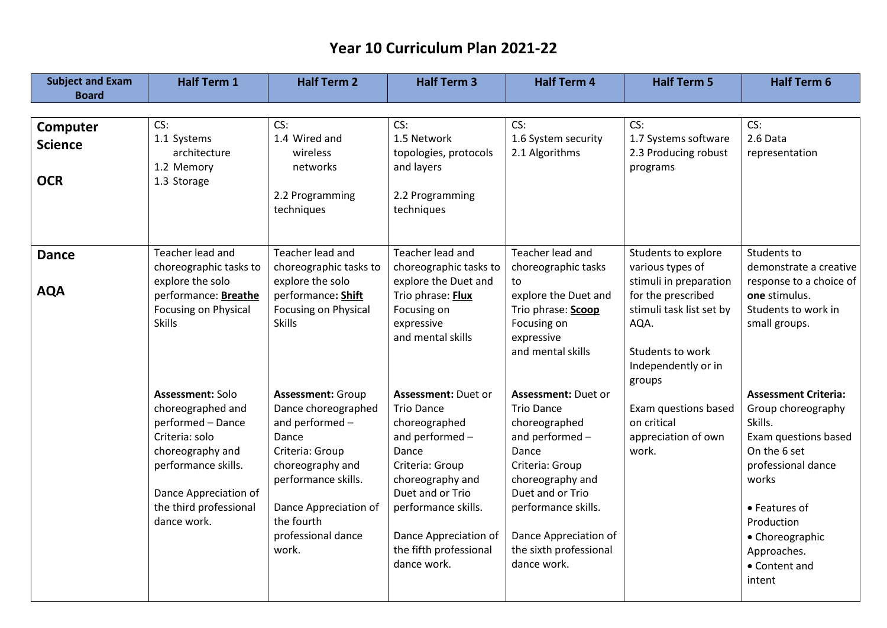| <b>Subject and Exam</b>                  | <b>Half Term 1</b>                                                                                                                                                                        | <b>Half Term 2</b>                                                                                                                                                                                             | <b>Half Term 3</b>                                                                                                                                                                                                                              | <b>Half Term 4</b>                                                                                                                                                                                                                        | <b>Half Term 5</b>                                                                                                                                        | <b>Half Term 6</b>                                                                                                                                                                                                              |
|------------------------------------------|-------------------------------------------------------------------------------------------------------------------------------------------------------------------------------------------|----------------------------------------------------------------------------------------------------------------------------------------------------------------------------------------------------------------|-------------------------------------------------------------------------------------------------------------------------------------------------------------------------------------------------------------------------------------------------|-------------------------------------------------------------------------------------------------------------------------------------------------------------------------------------------------------------------------------------------|-----------------------------------------------------------------------------------------------------------------------------------------------------------|---------------------------------------------------------------------------------------------------------------------------------------------------------------------------------------------------------------------------------|
| <b>Board</b>                             |                                                                                                                                                                                           |                                                                                                                                                                                                                |                                                                                                                                                                                                                                                 |                                                                                                                                                                                                                                           |                                                                                                                                                           |                                                                                                                                                                                                                                 |
| Computer<br><b>Science</b><br><b>OCR</b> | CS:<br>1.1 Systems<br>architecture<br>1.2 Memory<br>1.3 Storage                                                                                                                           | CS:<br>1.4 Wired and<br>wireless<br>networks<br>2.2 Programming<br>techniques                                                                                                                                  | CS:<br>1.5 Network<br>topologies, protocols<br>and layers<br>2.2 Programming<br>techniques                                                                                                                                                      | CS:<br>1.6 System security<br>2.1 Algorithms                                                                                                                                                                                              | CS:<br>1.7 Systems software<br>2.3 Producing robust<br>programs                                                                                           | CS:<br>2.6 Data<br>representation                                                                                                                                                                                               |
| <b>Dance</b>                             | Teacher lead and                                                                                                                                                                          | Teacher lead and                                                                                                                                                                                               | Teacher lead and                                                                                                                                                                                                                                | Teacher lead and                                                                                                                                                                                                                          | Students to explore                                                                                                                                       | Students to                                                                                                                                                                                                                     |
| <b>AQA</b>                               | choreographic tasks to<br>explore the solo<br>performance: Breathe<br>Focusing on Physical<br><b>Skills</b>                                                                               | choreographic tasks to<br>explore the solo<br>performance: Shift<br>Focusing on Physical<br><b>Skills</b>                                                                                                      | choreographic tasks to<br>explore the Duet and<br>Trio phrase: Flux<br>Focusing on<br>expressive<br>and mental skills                                                                                                                           | choreographic tasks<br>to<br>explore the Duet and<br>Trio phrase: Scoop<br>Focusing on<br>expressive<br>and mental skills                                                                                                                 | various types of<br>stimuli in preparation<br>for the prescribed<br>stimuli task list set by<br>AQA.<br>Students to work<br>Independently or in<br>groups | demonstrate a creative<br>response to a choice of<br>one stimulus.<br>Students to work in<br>small groups.                                                                                                                      |
|                                          | Assessment: Solo<br>choreographed and<br>performed - Dance<br>Criteria: solo<br>choreography and<br>performance skills.<br>Dance Appreciation of<br>the third professional<br>dance work. | <b>Assessment: Group</b><br>Dance choreographed<br>and performed-<br>Dance<br>Criteria: Group<br>choreography and<br>performance skills.<br>Dance Appreciation of<br>the fourth<br>professional dance<br>work. | <b>Assessment: Duet or</b><br><b>Trio Dance</b><br>choreographed<br>and performed-<br>Dance<br>Criteria: Group<br>choreography and<br>Duet and or Trio<br>performance skills.<br>Dance Appreciation of<br>the fifth professional<br>dance work. | Assessment: Duet or<br><b>Trio Dance</b><br>choreographed<br>and performed -<br>Dance<br>Criteria: Group<br>choreography and<br>Duet and or Trio<br>performance skills.<br>Dance Appreciation of<br>the sixth professional<br>dance work. | Exam questions based<br>on critical<br>appreciation of own<br>work.                                                                                       | <b>Assessment Criteria:</b><br>Group choreography<br>Skills.<br>Exam questions based<br>On the 6 set<br>professional dance<br>works<br>• Features of<br>Production<br>• Choreographic<br>Approaches.<br>• Content and<br>intent |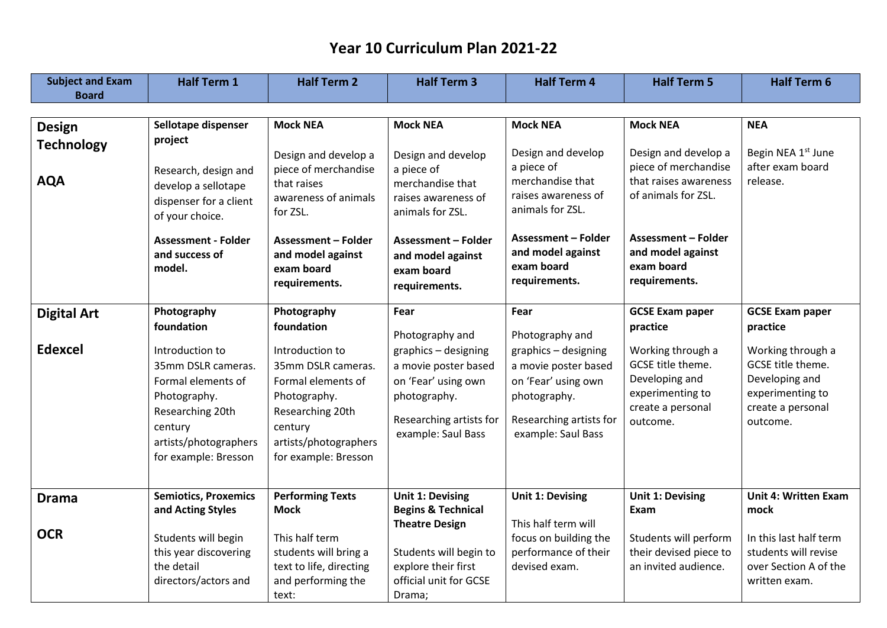| <b>Subject and Exam</b>         | <b>Half Term 1</b>                                                                                                                                          | <b>Half Term 2</b>                                                                                                                                          | <b>Half Term 3</b>                                                                                                                   | <b>Half Term 4</b>                                                                                                                   | <b>Half Term 5</b>                                                                                                                              | <b>Half Term 6</b>                                                                                            |
|---------------------------------|-------------------------------------------------------------------------------------------------------------------------------------------------------------|-------------------------------------------------------------------------------------------------------------------------------------------------------------|--------------------------------------------------------------------------------------------------------------------------------------|--------------------------------------------------------------------------------------------------------------------------------------|-------------------------------------------------------------------------------------------------------------------------------------------------|---------------------------------------------------------------------------------------------------------------|
| <b>Board</b>                    |                                                                                                                                                             |                                                                                                                                                             |                                                                                                                                      |                                                                                                                                      |                                                                                                                                                 |                                                                                                               |
|                                 |                                                                                                                                                             |                                                                                                                                                             |                                                                                                                                      |                                                                                                                                      |                                                                                                                                                 |                                                                                                               |
| <b>Design</b>                   | Sellotape dispenser                                                                                                                                         | <b>Mock NEA</b>                                                                                                                                             | <b>Mock NEA</b>                                                                                                                      | <b>Mock NEA</b>                                                                                                                      | <b>Mock NEA</b>                                                                                                                                 | <b>NEA</b>                                                                                                    |
| <b>Technology</b><br><b>AQA</b> | project<br>Research, design and<br>develop a sellotape<br>dispenser for a client<br>of your choice.<br><b>Assessment - Folder</b>                           | Design and develop a<br>piece of merchandise<br>that raises<br>awareness of animals<br>for ZSL.<br><b>Assessment - Folder</b>                               | Design and develop<br>a piece of<br>merchandise that<br>raises awareness of<br>animals for ZSL.<br><b>Assessment - Folder</b>        | Design and develop<br>a piece of<br>merchandise that<br>raises awareness of<br>animals for ZSL.<br><b>Assessment - Folder</b>        | Design and develop a<br>piece of merchandise<br>that raises awareness<br>of animals for ZSL.<br><b>Assessment - Folder</b><br>and model against | Begin NEA 1 <sup>st</sup> June<br>after exam board<br>release.                                                |
|                                 | and success of<br>model.                                                                                                                                    | and model against<br>exam board<br>requirements.                                                                                                            | and model against<br>exam board<br>requirements.                                                                                     | and model against<br>exam board<br>requirements.                                                                                     | exam board<br>requirements.                                                                                                                     |                                                                                                               |
| <b>Digital Art</b>              | Photography                                                                                                                                                 | Photography                                                                                                                                                 | Fear                                                                                                                                 | Fear                                                                                                                                 | <b>GCSE Exam paper</b>                                                                                                                          | <b>GCSE Exam paper</b>                                                                                        |
|                                 | foundation                                                                                                                                                  | foundation                                                                                                                                                  | Photography and                                                                                                                      | Photography and                                                                                                                      | practice                                                                                                                                        | practice                                                                                                      |
| <b>Edexcel</b>                  | Introduction to<br>35mm DSLR cameras.<br>Formal elements of<br>Photography.<br>Researching 20th<br>century<br>artists/photographers<br>for example: Bresson | Introduction to<br>35mm DSLR cameras.<br>Formal elements of<br>Photography.<br>Researching 20th<br>century<br>artists/photographers<br>for example: Bresson | graphics - designing<br>a movie poster based<br>on 'Fear' using own<br>photography.<br>Researching artists for<br>example: Saul Bass | graphics - designing<br>a movie poster based<br>on 'Fear' using own<br>photography.<br>Researching artists for<br>example: Saul Bass | Working through a<br>GCSE title theme.<br>Developing and<br>experimenting to<br>create a personal<br>outcome.                                   | Working through a<br>GCSE title theme.<br>Developing and<br>experimenting to<br>create a personal<br>outcome. |
| <b>Drama</b>                    | <b>Semiotics, Proxemics</b>                                                                                                                                 | <b>Performing Texts</b>                                                                                                                                     | <b>Unit 1: Devising</b>                                                                                                              | <b>Unit 1: Devising</b>                                                                                                              | <b>Unit 1: Devising</b>                                                                                                                         | <b>Unit 4: Written Exam</b>                                                                                   |
|                                 | and Acting Styles                                                                                                                                           | <b>Mock</b>                                                                                                                                                 | <b>Begins &amp; Technical</b><br><b>Theatre Design</b>                                                                               | This half term will                                                                                                                  | Exam                                                                                                                                            | mock                                                                                                          |
| <b>OCR</b>                      | Students will begin<br>this year discovering<br>the detail<br>directors/actors and                                                                          | This half term<br>students will bring a<br>text to life, directing<br>and performing the<br>text:                                                           | Students will begin to<br>explore their first<br>official unit for GCSE<br>Drama;                                                    | focus on building the<br>performance of their<br>devised exam.                                                                       | Students will perform<br>their devised piece to<br>an invited audience.                                                                         | In this last half term<br>students will revise<br>over Section A of the<br>written exam.                      |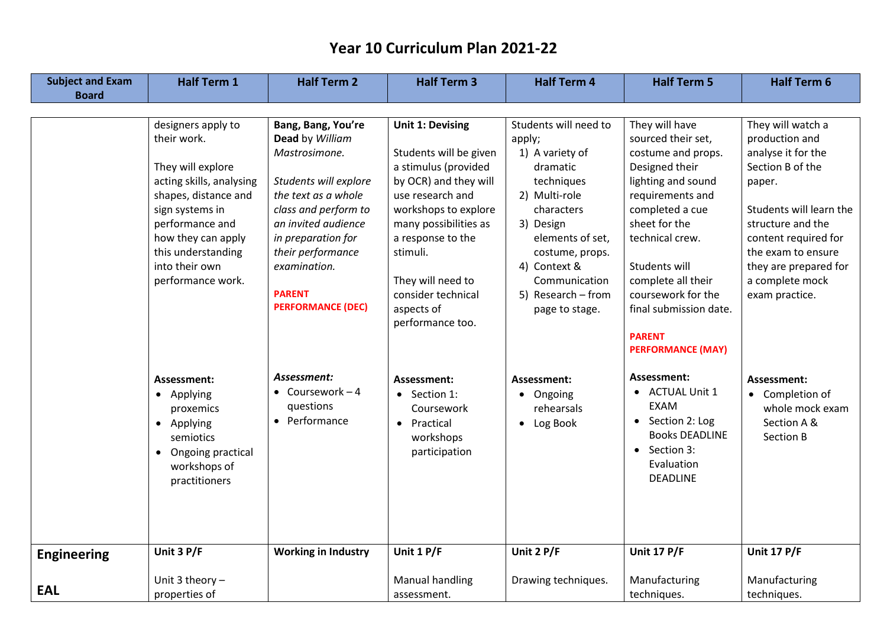| <b>Subject and Exam</b> | <b>Half Term 1</b>                                                                                                                                                                                                                  | <b>Half Term 2</b>                                                                                                                                                                                                                                            | <b>Half Term 3</b>                                                                                                                                                                                                                                                             | <b>Half Term 4</b>                                                                                                                                                                                                                       | <b>Half Term 5</b>                                                                                                                                                                                                                                                                                                | <b>Half Term 6</b>                                                                                                                                                                                                                                  |
|-------------------------|-------------------------------------------------------------------------------------------------------------------------------------------------------------------------------------------------------------------------------------|---------------------------------------------------------------------------------------------------------------------------------------------------------------------------------------------------------------------------------------------------------------|--------------------------------------------------------------------------------------------------------------------------------------------------------------------------------------------------------------------------------------------------------------------------------|------------------------------------------------------------------------------------------------------------------------------------------------------------------------------------------------------------------------------------------|-------------------------------------------------------------------------------------------------------------------------------------------------------------------------------------------------------------------------------------------------------------------------------------------------------------------|-----------------------------------------------------------------------------------------------------------------------------------------------------------------------------------------------------------------------------------------------------|
| <b>Board</b>            |                                                                                                                                                                                                                                     |                                                                                                                                                                                                                                                               |                                                                                                                                                                                                                                                                                |                                                                                                                                                                                                                                          |                                                                                                                                                                                                                                                                                                                   |                                                                                                                                                                                                                                                     |
|                         |                                                                                                                                                                                                                                     |                                                                                                                                                                                                                                                               |                                                                                                                                                                                                                                                                                |                                                                                                                                                                                                                                          |                                                                                                                                                                                                                                                                                                                   |                                                                                                                                                                                                                                                     |
|                         | designers apply to<br>their work.<br>They will explore<br>acting skills, analysing<br>shapes, distance and<br>sign systems in<br>performance and<br>how they can apply<br>this understanding<br>into their own<br>performance work. | Bang, Bang, You're<br>Dead by William<br>Mastrosimone.<br>Students will explore<br>the text as a whole<br>class and perform to<br>an invited audience<br>in preparation for<br>their performance<br>examination.<br><b>PARENT</b><br><b>PERFORMANCE (DEC)</b> | Unit 1: Devising<br>Students will be given<br>a stimulus (provided<br>by OCR) and they will<br>use research and<br>workshops to explore<br>many possibilities as<br>a response to the<br>stimuli.<br>They will need to<br>consider technical<br>aspects of<br>performance too. | Students will need to<br>apply;<br>1) A variety of<br>dramatic<br>techniques<br>2) Multi-role<br>characters<br>3) Design<br>elements of set,<br>costume, props.<br>4) Context &<br>Communication<br>5) Research - from<br>page to stage. | They will have<br>sourced their set,<br>costume and props.<br>Designed their<br>lighting and sound<br>requirements and<br>completed a cue<br>sheet for the<br>technical crew.<br>Students will<br>complete all their<br>coursework for the<br>final submission date.<br><b>PARENT</b><br><b>PERFORMANCE (MAY)</b> | They will watch a<br>production and<br>analyse it for the<br>Section B of the<br>paper.<br>Students will learn the<br>structure and the<br>content required for<br>the exam to ensure<br>they are prepared for<br>a complete mock<br>exam practice. |
|                         | Assessment:<br>• Applying<br>proxemics<br>• Applying<br>semiotics<br>Ongoing practical<br>$\bullet$<br>workshops of<br>practitioners                                                                                                | Assessment:<br>$\bullet$ Coursework - 4<br>questions<br>• Performance                                                                                                                                                                                         | Assessment:<br>$\bullet$ Section 1:<br>Coursework<br>• Practical<br>workshops<br>participation                                                                                                                                                                                 | Assessment:<br>• Ongoing<br>rehearsals<br>• Log Book                                                                                                                                                                                     | Assessment:<br>• ACTUAL Unit 1<br><b>EXAM</b><br>• Section 2: Log<br><b>Books DEADLINE</b><br>• Section 3:<br>Evaluation<br><b>DEADLINE</b>                                                                                                                                                                       | Assessment:<br>• Completion of<br>whole mock exam<br>Section A &<br>Section B                                                                                                                                                                       |
| <b>Engineering</b>      | Unit 3 P/F                                                                                                                                                                                                                          | <b>Working in Industry</b>                                                                                                                                                                                                                                    | Unit 1 P/F                                                                                                                                                                                                                                                                     | Unit 2 P/F                                                                                                                                                                                                                               | <b>Unit 17 P/F</b>                                                                                                                                                                                                                                                                                                | <b>Unit 17 P/F</b>                                                                                                                                                                                                                                  |
| <b>EAL</b>              | Unit 3 theory $-$<br>properties of                                                                                                                                                                                                  |                                                                                                                                                                                                                                                               | Manual handling<br>assessment.                                                                                                                                                                                                                                                 | Drawing techniques.                                                                                                                                                                                                                      | Manufacturing<br>techniques.                                                                                                                                                                                                                                                                                      | Manufacturing<br>techniques.                                                                                                                                                                                                                        |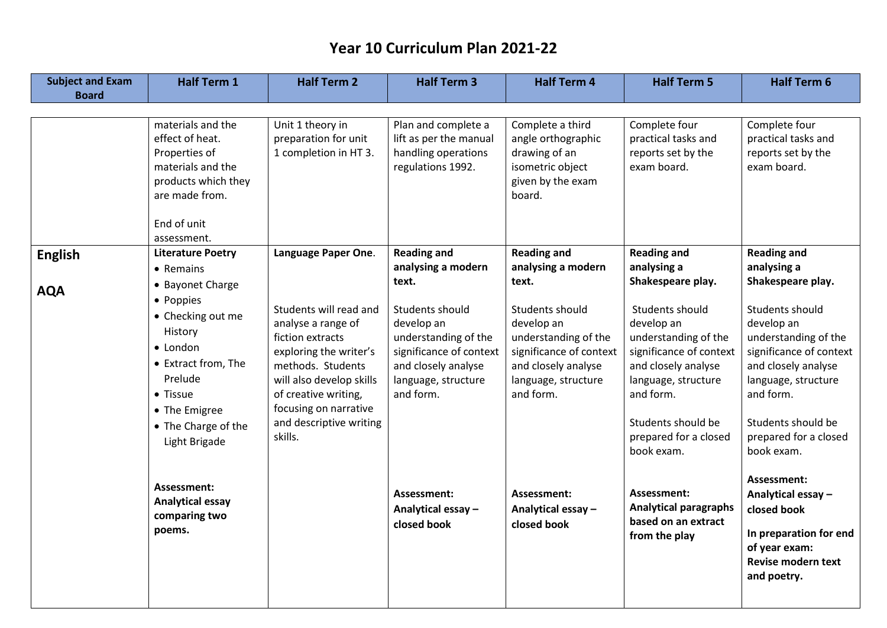| <b>Subject and Exam</b> | <b>Half Term 1</b>                                                                                                                                                                            | <b>Half Term 2</b>                                                                                                                                                                                                                 | <b>Half Term 3</b>                                                                                                                                                         | <b>Half Term 4</b>                                                                                                                                                         | <b>Half Term 5</b>                                                                                                                                                                                                                           | <b>Half Term 6</b>                                                                                                                                                                                                                           |
|-------------------------|-----------------------------------------------------------------------------------------------------------------------------------------------------------------------------------------------|------------------------------------------------------------------------------------------------------------------------------------------------------------------------------------------------------------------------------------|----------------------------------------------------------------------------------------------------------------------------------------------------------------------------|----------------------------------------------------------------------------------------------------------------------------------------------------------------------------|----------------------------------------------------------------------------------------------------------------------------------------------------------------------------------------------------------------------------------------------|----------------------------------------------------------------------------------------------------------------------------------------------------------------------------------------------------------------------------------------------|
| <b>Board</b>            |                                                                                                                                                                                               |                                                                                                                                                                                                                                    |                                                                                                                                                                            |                                                                                                                                                                            |                                                                                                                                                                                                                                              |                                                                                                                                                                                                                                              |
|                         | materials and the<br>effect of heat.<br>Properties of<br>materials and the<br>products which they<br>are made from.<br>End of unit<br>assessment.                                             | Unit 1 theory in<br>preparation for unit<br>1 completion in HT 3.                                                                                                                                                                  | Plan and complete a<br>lift as per the manual<br>handling operations<br>regulations 1992.                                                                                  | Complete a third<br>angle orthographic<br>drawing of an<br>isometric object<br>given by the exam<br>board.                                                                 | Complete four<br>practical tasks and<br>reports set by the<br>exam board.                                                                                                                                                                    | Complete four<br>practical tasks and<br>reports set by the<br>exam board.                                                                                                                                                                    |
| <b>English</b>          | <b>Literature Poetry</b>                                                                                                                                                                      | Language Paper One.                                                                                                                                                                                                                | <b>Reading and</b>                                                                                                                                                         | <b>Reading and</b>                                                                                                                                                         | <b>Reading and</b>                                                                                                                                                                                                                           | <b>Reading and</b>                                                                                                                                                                                                                           |
| <b>AQA</b>              | • Remains<br>• Bayonet Charge<br>• Poppies<br>• Checking out me<br>History<br>• London<br>• Extract from, The<br>Prelude<br>• Tissue<br>• The Emigree<br>• The Charge of the<br>Light Brigade | Students will read and<br>analyse a range of<br>fiction extracts<br>exploring the writer's<br>methods. Students<br>will also develop skills<br>of creative writing,<br>focusing on narrative<br>and descriptive writing<br>skills. | analysing a modern<br>text.<br>Students should<br>develop an<br>understanding of the<br>significance of context<br>and closely analyse<br>language, structure<br>and form. | analysing a modern<br>text.<br>Students should<br>develop an<br>understanding of the<br>significance of context<br>and closely analyse<br>language, structure<br>and form. | analysing a<br>Shakespeare play.<br>Students should<br>develop an<br>understanding of the<br>significance of context<br>and closely analyse<br>language, structure<br>and form.<br>Students should be<br>prepared for a closed<br>book exam. | analysing a<br>Shakespeare play.<br>Students should<br>develop an<br>understanding of the<br>significance of context<br>and closely analyse<br>language, structure<br>and form.<br>Students should be<br>prepared for a closed<br>book exam. |
|                         | Assessment:<br><b>Analytical essay</b><br>comparing two<br>poems.                                                                                                                             |                                                                                                                                                                                                                                    | Assessment:<br>Analytical essay -<br>closed book                                                                                                                           | Assessment:<br>Analytical essay -<br>closed book                                                                                                                           | Assessment:<br><b>Analytical paragraphs</b><br>based on an extract<br>from the play                                                                                                                                                          | Assessment:<br>Analytical essay -<br>closed book<br>In preparation for end<br>of year exam:<br><b>Revise modern text</b><br>and poetry.                                                                                                      |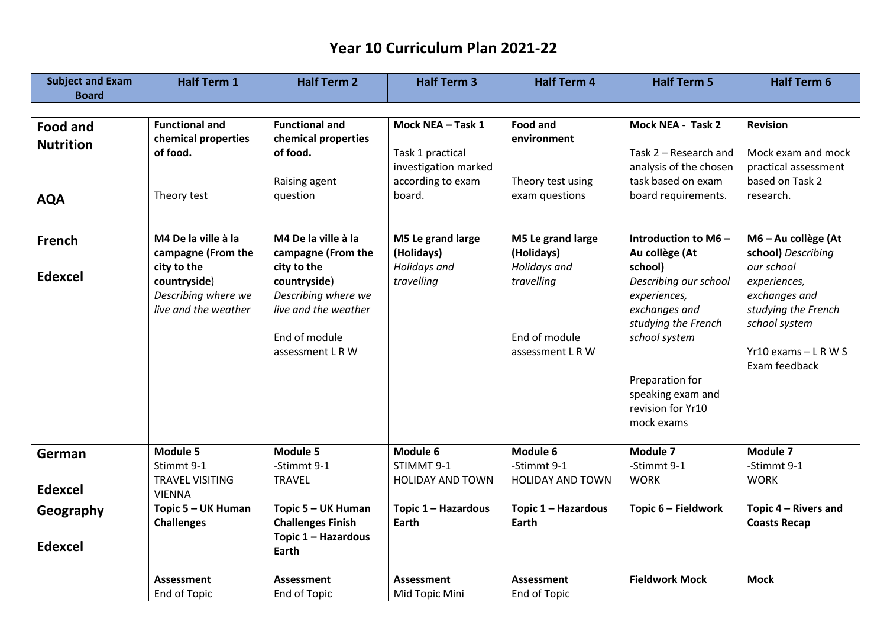| <b>Subject and Exam</b> | <b>Half Term 1</b>     | <b>Half Term 2</b>       | <b>Half Term 3</b>      | <b>Half Term 4</b>      | <b>Half Term 5</b>     | <b>Half Term 6</b>                        |
|-------------------------|------------------------|--------------------------|-------------------------|-------------------------|------------------------|-------------------------------------------|
| <b>Board</b>            |                        |                          |                         |                         |                        |                                           |
|                         |                        |                          |                         |                         |                        |                                           |
| <b>Food and</b>         | <b>Functional and</b>  | <b>Functional and</b>    | Mock NEA - Task 1       | <b>Food and</b>         | Mock NEA - Task 2      | <b>Revision</b>                           |
| <b>Nutrition</b>        | chemical properties    | chemical properties      |                         | environment             |                        |                                           |
|                         | of food.               | of food.                 | Task 1 practical        |                         | Task 2 - Research and  | Mock exam and mock                        |
|                         |                        |                          | investigation marked    |                         | analysis of the chosen | practical assessment                      |
|                         |                        | Raising agent            | according to exam       | Theory test using       | task based on exam     | based on Task 2                           |
| <b>AQA</b>              | Theory test            | question                 | board.                  | exam questions          | board requirements.    | research.                                 |
|                         |                        |                          |                         |                         |                        |                                           |
| <b>French</b>           | M4 De la ville à la    | M4 De la ville à la      | M5 Le grand large       | M5 Le grand large       | Introduction to M6-    | M6 - Au collège (At                       |
|                         | campagne (From the     | campagne (From the       | (Holidays)              | (Holidays)              | Au collège (At         | school) Describing                        |
| <b>Edexcel</b>          | city to the            | city to the              | Holidays and            | Holidays and            | school)                | our school                                |
|                         | countryside)           | countryside)             | travelling              | travelling              | Describing our school  | experiences,                              |
|                         | Describing where we    | Describing where we      |                         |                         | experiences,           | exchanges and                             |
|                         | live and the weather   | live and the weather     |                         |                         | exchanges and          | studying the French                       |
|                         |                        |                          |                         |                         | studying the French    | school system                             |
|                         |                        | End of module            |                         | End of module           | school system          |                                           |
|                         |                        | assessment LRW           |                         | assessment L R W        |                        | $Yr10$ exams $-$ L R W S<br>Exam feedback |
|                         |                        |                          |                         |                         | Preparation for        |                                           |
|                         |                        |                          |                         |                         | speaking exam and      |                                           |
|                         |                        |                          |                         |                         | revision for Yr10      |                                           |
|                         |                        |                          |                         |                         | mock exams             |                                           |
|                         |                        |                          |                         |                         |                        |                                           |
| German                  | Module 5               | Module 5                 | Module 6                | Module 6                | Module 7               | Module 7                                  |
|                         | Stimmt 9-1             | -Stimmt 9-1              | STIMMT 9-1              | -Stimmt 9-1             | -Stimmt 9-1            | -Stimmt 9-1                               |
|                         | <b>TRAVEL VISITING</b> | <b>TRAVEL</b>            | <b>HOLIDAY AND TOWN</b> | <b>HOLIDAY AND TOWN</b> | <b>WORK</b>            | <b>WORK</b>                               |
| <b>Edexcel</b>          | <b>VIENNA</b>          |                          |                         |                         |                        |                                           |
| Geography               | Topic 5 - UK Human     | Topic 5 - UK Human       | Topic 1 - Hazardous     | Topic 1 - Hazardous     | Topic 6 - Fieldwork    | Topic 4 - Rivers and                      |
|                         | <b>Challenges</b>      | <b>Challenges Finish</b> | Earth                   | <b>Earth</b>            |                        | <b>Coasts Recap</b>                       |
| <b>Edexcel</b>          |                        | Topic 1 - Hazardous      |                         |                         |                        |                                           |
|                         |                        | Earth                    |                         |                         |                        |                                           |
|                         | <b>Assessment</b>      | <b>Assessment</b>        | <b>Assessment</b>       | <b>Assessment</b>       | <b>Fieldwork Mock</b>  | <b>Mock</b>                               |
|                         | End of Topic           | End of Topic             | Mid Topic Mini          | <b>End of Topic</b>     |                        |                                           |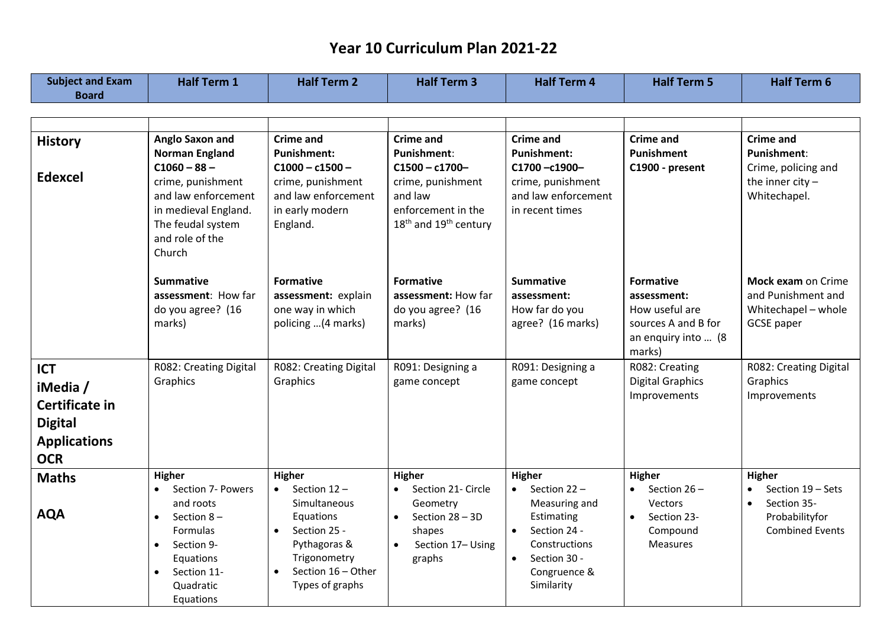| <b>Subject and Exam</b><br><b>Board</b> | <b>Half Term 1</b>                                                                                                                                                                        | <b>Half Term 2</b>                                                                                                                                          | <b>Half Term 3</b>                                                                                                                | <b>Half Term 4</b>                                                                                                                                  | <b>Half Term 5</b>                                                                                        | <b>Half Term 6</b>                                                                                     |
|-----------------------------------------|-------------------------------------------------------------------------------------------------------------------------------------------------------------------------------------------|-------------------------------------------------------------------------------------------------------------------------------------------------------------|-----------------------------------------------------------------------------------------------------------------------------------|-----------------------------------------------------------------------------------------------------------------------------------------------------|-----------------------------------------------------------------------------------------------------------|--------------------------------------------------------------------------------------------------------|
|                                         |                                                                                                                                                                                           |                                                                                                                                                             |                                                                                                                                   |                                                                                                                                                     |                                                                                                           |                                                                                                        |
| <b>History</b>                          | Anglo Saxon and                                                                                                                                                                           | <b>Crime and</b>                                                                                                                                            | <b>Crime and</b>                                                                                                                  | <b>Crime and</b>                                                                                                                                    | <b>Crime and</b>                                                                                          | <b>Crime and</b>                                                                                       |
|                                         | <b>Norman England</b>                                                                                                                                                                     | <b>Punishment:</b>                                                                                                                                          | <b>Punishment:</b>                                                                                                                | <b>Punishment:</b>                                                                                                                                  | Punishment                                                                                                | <b>Punishment:</b>                                                                                     |
| <b>Edexcel</b>                          | $C1060 - 88 -$<br>crime, punishment<br>and law enforcement<br>in medieval England.<br>The feudal system<br>and role of the<br>Church                                                      | $C1000 - c1500 -$<br>crime, punishment<br>and law enforcement<br>in early modern<br>England.                                                                | $C1500 - c1700 -$<br>crime, punishment<br>and law<br>enforcement in the<br>18 <sup>th</sup> and 19 <sup>th</sup> century          | C1700-c1900-<br>crime, punishment<br>and law enforcement<br>in recent times                                                                         | C1900 - present                                                                                           | Crime, policing and<br>the inner city $-$<br>Whitechapel.                                              |
|                                         | <b>Summative</b><br>assessment: How far<br>do you agree? (16<br>marks)                                                                                                                    | <b>Formative</b><br>assessment: explain<br>one way in which<br>policing  (4 marks)                                                                          | <b>Formative</b><br>assessment: How far<br>do you agree? (16<br>marks)                                                            | <b>Summative</b><br>assessment:<br>How far do you<br>agree? (16 marks)                                                                              | <b>Formative</b><br>assessment:<br>How useful are<br>sources A and B for<br>an enquiry into  (8<br>marks) | Mock exam on Crime<br>and Punishment and<br>Whitechapel - whole<br><b>GCSE</b> paper                   |
| <b>ICT</b>                              | R082: Creating Digital                                                                                                                                                                    | R082: Creating Digital                                                                                                                                      | R091: Designing a                                                                                                                 | R091: Designing a                                                                                                                                   | R082: Creating                                                                                            | R082: Creating Digital                                                                                 |
| iMedia /                                | Graphics                                                                                                                                                                                  | Graphics                                                                                                                                                    | game concept                                                                                                                      | game concept                                                                                                                                        | <b>Digital Graphics</b>                                                                                   | Graphics                                                                                               |
| Certificate in                          |                                                                                                                                                                                           |                                                                                                                                                             |                                                                                                                                   |                                                                                                                                                     | Improvements                                                                                              | Improvements                                                                                           |
| <b>Digital</b>                          |                                                                                                                                                                                           |                                                                                                                                                             |                                                                                                                                   |                                                                                                                                                     |                                                                                                           |                                                                                                        |
| <b>Applications</b>                     |                                                                                                                                                                                           |                                                                                                                                                             |                                                                                                                                   |                                                                                                                                                     |                                                                                                           |                                                                                                        |
| <b>OCR</b>                              |                                                                                                                                                                                           |                                                                                                                                                             |                                                                                                                                   |                                                                                                                                                     |                                                                                                           |                                                                                                        |
| <b>Maths</b>                            | Higher                                                                                                                                                                                    | Higher                                                                                                                                                      | <b>Higher</b>                                                                                                                     | Higher                                                                                                                                              | Higher                                                                                                    | Higher                                                                                                 |
| <b>AQA</b>                              | Section 7- Powers<br>$\bullet$<br>and roots<br>Section $8-$<br>$\bullet$<br><b>Formulas</b><br>Section 9-<br>$\bullet$<br>Equations<br>Section 11-<br>$\bullet$<br>Quadratic<br>Equations | Section 12-<br>$\bullet$<br>Simultaneous<br>Equations<br>Section 25 -<br>$\bullet$<br>Pythagoras &<br>Trigonometry<br>Section 16 - Other<br>Types of graphs | Section 21- Circle<br>$\bullet$<br>Geometry<br>Section 28 - 3D<br>$\bullet$<br>shapes<br>Section 17- Using<br>$\bullet$<br>graphs | Section 22-<br>$\bullet$<br>Measuring and<br>Estimating<br>Section 24 -<br>$\bullet$<br>Constructions<br>Section 30 -<br>Congruence &<br>Similarity | Section $26 -$<br>$\bullet$<br><b>Vectors</b><br>Section 23-<br>$\bullet$<br>Compound<br>Measures         | Section 19 - Sets<br>$\bullet$<br>Section 35-<br>$\bullet$<br>Probabilityfor<br><b>Combined Events</b> |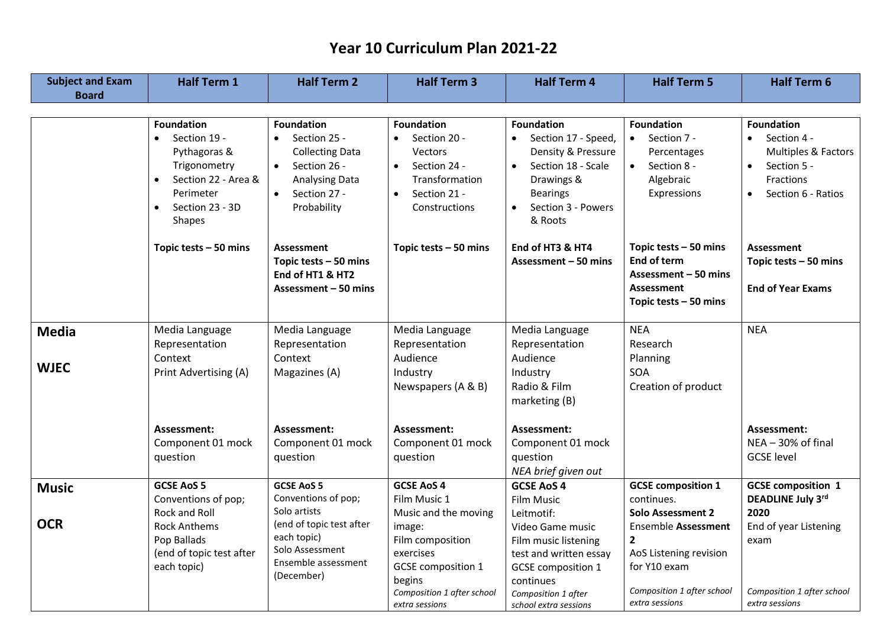| <b>Subject and Exam</b>     | <b>Half Term 1</b>                                                                                                                                                  | <b>Half Term 2</b>                                                                                                                                     | <b>Half Term 3</b>                                                                                                                               | <b>Half Term 4</b>                                                                                                                                                  | <b>Half Term 5</b>                                                                                                                   | <b>Half Term 6</b>                                                                                                                  |
|-----------------------------|---------------------------------------------------------------------------------------------------------------------------------------------------------------------|--------------------------------------------------------------------------------------------------------------------------------------------------------|--------------------------------------------------------------------------------------------------------------------------------------------------|---------------------------------------------------------------------------------------------------------------------------------------------------------------------|--------------------------------------------------------------------------------------------------------------------------------------|-------------------------------------------------------------------------------------------------------------------------------------|
| <b>Board</b>                |                                                                                                                                                                     |                                                                                                                                                        |                                                                                                                                                  |                                                                                                                                                                     |                                                                                                                                      |                                                                                                                                     |
|                             |                                                                                                                                                                     |                                                                                                                                                        |                                                                                                                                                  |                                                                                                                                                                     |                                                                                                                                      |                                                                                                                                     |
|                             | <b>Foundation</b><br>- Section 19<br>Pythagoras &<br>Trigonometry<br>Section 22 - Area &<br>$\bullet$<br>Perimeter<br>Section 23 - 3D<br>$\bullet$<br><b>Shapes</b> | <b>Foundation</b><br>Section 25 -<br><b>Collecting Data</b><br>Section 26 -<br>$\bullet$<br>Analysing Data<br>$\bullet$<br>Section 27 -<br>Probability | <b>Foundation</b><br>Section 20 -<br><b>Vectors</b><br>Section 24 -<br>$\bullet$<br>Transformation<br>Section 21 -<br>$\bullet$<br>Constructions | <b>Foundation</b><br>Section 17 - Speed,<br>Density & Pressure<br>Section 18 - Scale<br>Drawings &<br><b>Bearings</b><br>Section 3 - Powers<br>$\bullet$<br>& Roots | <b>Foundation</b><br>$\bullet$ Section 7 -<br>Percentages<br>$\bullet$<br>Section 8 -<br>Algebraic<br>Expressions                    | <b>Foundation</b><br>Section 4 -<br>Multiples & Factors<br>Section 5 -<br>$\bullet$<br>Fractions<br>Section 6 - Ratios<br>$\bullet$ |
|                             | Topic tests - 50 mins                                                                                                                                               | <b>Assessment</b><br>Topic tests $-50$ mins<br>End of HT1 & HT2<br>Assessment - 50 mins                                                                | Topic tests - 50 mins                                                                                                                            | End of HT3 & HT4<br>Assessment - 50 mins                                                                                                                            | Topic tests - 50 mins<br><b>End of term</b><br>Assessment - 50 mins<br><b>Assessment</b><br>Topic tests $-50$ mins                   | <b>Assessment</b><br>Topic tests $-50$ mins<br><b>End of Year Exams</b>                                                             |
| <b>Media</b><br><b>WJEC</b> | Media Language<br>Representation<br>Context<br>Print Advertising (A)                                                                                                | Media Language<br>Representation<br>Context<br>Magazines (A)                                                                                           | Media Language<br>Representation<br>Audience<br>Industry<br>Newspapers (A & B)                                                                   | Media Language<br>Representation<br>Audience<br>Industry<br>Radio & Film<br>marketing (B)                                                                           | <b>NEA</b><br>Research<br>Planning<br>SOA<br>Creation of product                                                                     | <b>NEA</b>                                                                                                                          |
|                             | Assessment:<br>Component 01 mock<br>question                                                                                                                        | Assessment:<br>Component 01 mock<br>question                                                                                                           | Assessment:<br>Component 01 mock<br>question                                                                                                     | Assessment:<br>Component 01 mock<br>question<br>NEA brief given out                                                                                                 |                                                                                                                                      | Assessment:<br>$NEA - 30\%$ of final<br><b>GCSE level</b>                                                                           |
| <b>Music</b>                | <b>GCSE AoS 5</b><br>Conventions of pop;<br>Rock and Roll                                                                                                           | <b>GCSE AoS 5</b><br>Conventions of pop;<br>Solo artists                                                                                               | <b>GCSE AoS 4</b><br>Film Music 1<br>Music and the moving                                                                                        | <b>GCSE AoS 4</b><br><b>Film Music</b><br>Leitmotif:                                                                                                                | <b>GCSE</b> composition 1<br>continues.<br><b>Solo Assessment 2</b>                                                                  | <b>GCSE composition 1</b><br><b>DEADLINE July 3rd</b><br>2020                                                                       |
| <b>OCR</b>                  | <b>Rock Anthems</b><br>Pop Ballads<br>(end of topic test after<br>each topic)                                                                                       | (end of topic test after<br>each topic)<br>Solo Assessment<br>Ensemble assessment<br>(December)                                                        | image:<br>Film composition<br>exercises<br><b>GCSE</b> composition 1<br>begins<br>Composition 1 after school<br>extra sessions                   | Video Game music<br>Film music listening<br>test and written essay<br><b>GCSE</b> composition 1<br>continues<br>Composition 1 after<br>school extra sessions        | <b>Ensemble Assessment</b><br>$\mathbf{2}$<br>AoS Listening revision<br>for Y10 exam<br>Composition 1 after school<br>extra sessions | End of year Listening<br>exam<br>Composition 1 after school<br>extra sessions                                                       |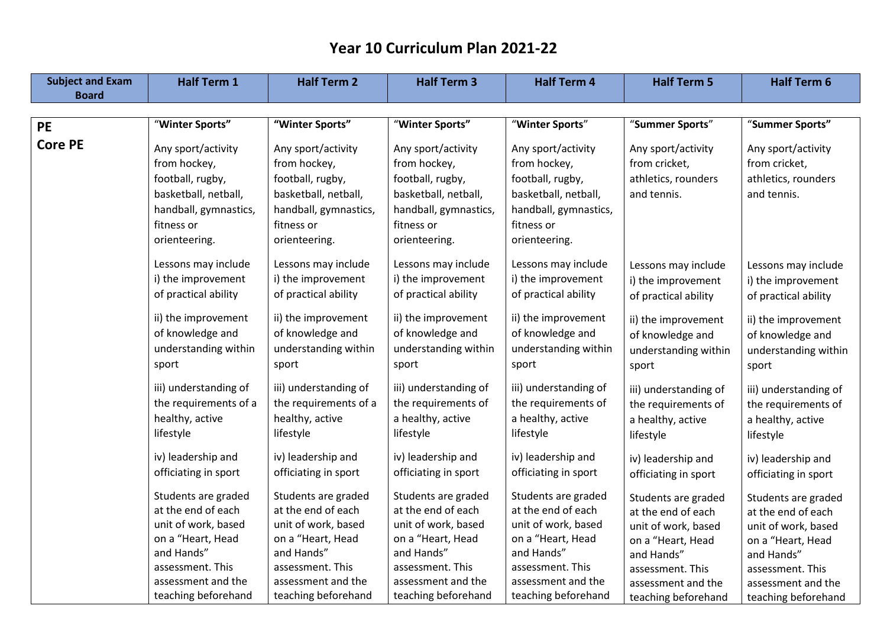| <b>Subject and Exam</b> | <b>Half Term 1</b>    | <b>Half Term 2</b>    | <b>Half Term 3</b>    | <b>Half Term 4</b>    | <b>Half Term 5</b>    | <b>Half Term 6</b>    |
|-------------------------|-----------------------|-----------------------|-----------------------|-----------------------|-----------------------|-----------------------|
| <b>Board</b>            |                       |                       |                       |                       |                       |                       |
|                         |                       |                       |                       |                       |                       |                       |
| <b>PE</b>               | "Winter Sports"       | "Winter Sports"       | "Winter Sports"       | "Winter Sports"       | "Summer Sports"       | "Summer Sports"       |
| <b>Core PE</b>          | Any sport/activity    | Any sport/activity    | Any sport/activity    | Any sport/activity    | Any sport/activity    | Any sport/activity    |
|                         | from hockey,          | from hockey,          | from hockey,          | from hockey,          | from cricket,         | from cricket,         |
|                         | football, rugby,      | football, rugby,      | football, rugby,      | football, rugby,      | athletics, rounders   | athletics, rounders   |
|                         | basketball, netball,  | basketball, netball,  | basketball, netball,  | basketball, netball,  | and tennis.           | and tennis.           |
|                         | handball, gymnastics, | handball, gymnastics, | handball, gymnastics, | handball, gymnastics, |                       |                       |
|                         | fitness or            | fitness or            | fitness or            | fitness or            |                       |                       |
|                         | orienteering.         | orienteering.         | orienteering.         | orienteering.         |                       |                       |
|                         |                       |                       |                       |                       |                       |                       |
|                         | Lessons may include   | Lessons may include   | Lessons may include   | Lessons may include   | Lessons may include   | Lessons may include   |
|                         | i) the improvement    | i) the improvement    | i) the improvement    | i) the improvement    | i) the improvement    | i) the improvement    |
|                         | of practical ability  | of practical ability  | of practical ability  | of practical ability  | of practical ability  | of practical ability  |
|                         | ii) the improvement   | ii) the improvement   | ii) the improvement   | ii) the improvement   | ii) the improvement   | ii) the improvement   |
|                         | of knowledge and      | of knowledge and      | of knowledge and      | of knowledge and      | of knowledge and      | of knowledge and      |
|                         | understanding within  | understanding within  | understanding within  | understanding within  | understanding within  | understanding within  |
|                         | sport                 | sport                 | sport                 | sport                 | sport                 | sport                 |
|                         |                       |                       |                       |                       |                       |                       |
|                         | iii) understanding of | iii) understanding of | iii) understanding of | iii) understanding of | iii) understanding of | iii) understanding of |
|                         | the requirements of a | the requirements of a | the requirements of   | the requirements of   | the requirements of   | the requirements of   |
|                         | healthy, active       | healthy, active       | a healthy, active     | a healthy, active     | a healthy, active     | a healthy, active     |
|                         | lifestyle             | lifestyle             | lifestyle             | lifestyle             | lifestyle             | lifestyle             |
|                         | iv) leadership and    | iv) leadership and    | iv) leadership and    | iv) leadership and    |                       |                       |
|                         | officiating in sport  | officiating in sport  | officiating in sport  | officiating in sport  | iv) leadership and    | iv) leadership and    |
|                         |                       |                       |                       |                       | officiating in sport  | officiating in sport  |
|                         | Students are graded   | Students are graded   | Students are graded   | Students are graded   | Students are graded   | Students are graded   |
|                         | at the end of each    | at the end of each    | at the end of each    | at the end of each    | at the end of each    | at the end of each    |
|                         | unit of work, based   | unit of work, based   | unit of work, based   | unit of work, based   | unit of work, based   | unit of work, based   |
|                         | on a "Heart, Head     | on a "Heart, Head     | on a "Heart, Head     | on a "Heart, Head     | on a "Heart, Head     | on a "Heart, Head     |
|                         | and Hands"            | and Hands"            | and Hands"            | and Hands"            | and Hands"            | and Hands"            |
|                         | assessment. This      | assessment. This      | assessment. This      | assessment. This      | assessment. This      | assessment. This      |
|                         | assessment and the    | assessment and the    | assessment and the    | assessment and the    | assessment and the    | assessment and the    |
|                         | teaching beforehand   | teaching beforehand   | teaching beforehand   | teaching beforehand   | teaching beforehand   | teaching beforehand   |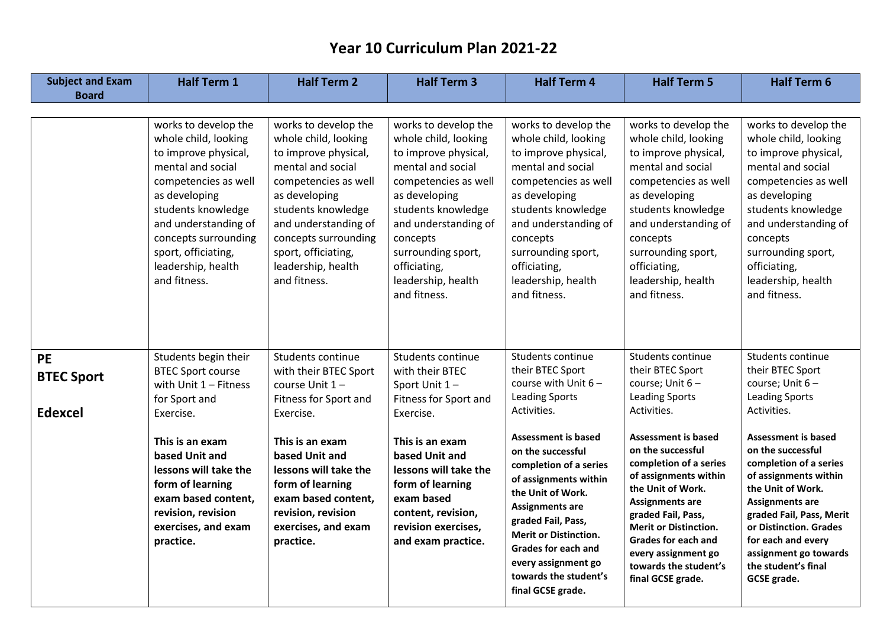| <b>Subject and Exam</b>                          | <b>Half Term 1</b>                                                                                                                                                                                                                                                           | <b>Half Term 2</b>                                                                                                                                                                                                                                                    | <b>Half Term 3</b>                                                                                                                                                                                                                                                       | <b>Half Term 4</b>                                                                                                                                                                                                                                                                                                                                                                                                    | <b>Half Term 5</b>                                                                                                                                                                                                                                                                                                                                                                                      | <b>Half Term 6</b>                                                                                                                                                                                                                                                                                                                                                                               |
|--------------------------------------------------|------------------------------------------------------------------------------------------------------------------------------------------------------------------------------------------------------------------------------------------------------------------------------|-----------------------------------------------------------------------------------------------------------------------------------------------------------------------------------------------------------------------------------------------------------------------|--------------------------------------------------------------------------------------------------------------------------------------------------------------------------------------------------------------------------------------------------------------------------|-----------------------------------------------------------------------------------------------------------------------------------------------------------------------------------------------------------------------------------------------------------------------------------------------------------------------------------------------------------------------------------------------------------------------|---------------------------------------------------------------------------------------------------------------------------------------------------------------------------------------------------------------------------------------------------------------------------------------------------------------------------------------------------------------------------------------------------------|--------------------------------------------------------------------------------------------------------------------------------------------------------------------------------------------------------------------------------------------------------------------------------------------------------------------------------------------------------------------------------------------------|
| <b>Board</b>                                     |                                                                                                                                                                                                                                                                              |                                                                                                                                                                                                                                                                       |                                                                                                                                                                                                                                                                          |                                                                                                                                                                                                                                                                                                                                                                                                                       |                                                                                                                                                                                                                                                                                                                                                                                                         |                                                                                                                                                                                                                                                                                                                                                                                                  |
|                                                  |                                                                                                                                                                                                                                                                              |                                                                                                                                                                                                                                                                       |                                                                                                                                                                                                                                                                          |                                                                                                                                                                                                                                                                                                                                                                                                                       |                                                                                                                                                                                                                                                                                                                                                                                                         |                                                                                                                                                                                                                                                                                                                                                                                                  |
|                                                  | works to develop the<br>whole child, looking<br>to improve physical,<br>mental and social<br>competencies as well<br>as developing<br>students knowledge<br>and understanding of<br>concepts surrounding<br>sport, officiating,<br>leadership, health<br>and fitness.        | works to develop the<br>whole child, looking<br>to improve physical,<br>mental and social<br>competencies as well<br>as developing<br>students knowledge<br>and understanding of<br>concepts surrounding<br>sport, officiating,<br>leadership, health<br>and fitness. | works to develop the<br>whole child, looking<br>to improve physical,<br>mental and social<br>competencies as well<br>as developing<br>students knowledge<br>and understanding of<br>concepts<br>surrounding sport,<br>officiating,<br>leadership, health<br>and fitness. | works to develop the<br>whole child, looking<br>to improve physical,<br>mental and social<br>competencies as well<br>as developing<br>students knowledge<br>and understanding of<br>concepts<br>surrounding sport,<br>officiating,<br>leadership, health<br>and fitness.                                                                                                                                              | works to develop the<br>whole child, looking<br>to improve physical,<br>mental and social<br>competencies as well<br>as developing<br>students knowledge<br>and understanding of<br>concepts<br>surrounding sport,<br>officiating,<br>leadership, health<br>and fitness.                                                                                                                                | works to develop the<br>whole child, looking<br>to improve physical,<br>mental and social<br>competencies as well<br>as developing<br>students knowledge<br>and understanding of<br>concepts<br>surrounding sport,<br>officiating,<br>leadership, health<br>and fitness.                                                                                                                         |
| <b>PE</b><br><b>BTEC Sport</b><br><b>Edexcel</b> | Students begin their<br><b>BTEC Sport course</b><br>with Unit $1 -$ Fitness<br>for Sport and<br>Exercise.<br>This is an exam<br>based Unit and<br>lessons will take the<br>form of learning<br>exam based content,<br>revision, revision<br>exercises, and exam<br>practice. | Students continue<br>with their BTEC Sport<br>course Unit 1-<br>Fitness for Sport and<br>Exercise.<br>This is an exam<br>based Unit and<br>lessons will take the<br>form of learning<br>exam based content,<br>revision, revision<br>exercises, and exam<br>practice. | Students continue<br>with their BTEC<br>Sport Unit 1-<br>Fitness for Sport and<br>Exercise.<br>This is an exam<br>based Unit and<br>lessons will take the<br>form of learning<br>exam based<br>content, revision,<br>revision exercises,<br>and exam practice.           | Students continue<br>their BTEC Sport<br>course with Unit $6 -$<br><b>Leading Sports</b><br>Activities.<br><b>Assessment is based</b><br>on the successful<br>completion of a series<br>of assignments within<br>the Unit of Work.<br><b>Assignments are</b><br>graded Fail, Pass,<br><b>Merit or Distinction.</b><br><b>Grades for each and</b><br>every assignment go<br>towards the student's<br>final GCSE grade. | Students continue<br>their BTEC Sport<br>course; Unit 6-<br><b>Leading Sports</b><br>Activities.<br><b>Assessment is based</b><br>on the successful<br>completion of a series<br>of assignments within<br>the Unit of Work.<br><b>Assignments are</b><br>graded Fail, Pass,<br><b>Merit or Distinction.</b><br>Grades for each and<br>every assignment go<br>towards the student's<br>final GCSE grade. | Students continue<br>their BTEC Sport<br>course; Unit 6-<br>Leading Sports<br>Activities.<br><b>Assessment is based</b><br>on the successful<br>completion of a series<br>of assignments within<br>the Unit of Work.<br><b>Assignments are</b><br>graded Fail, Pass, Merit<br>or Distinction. Grades<br>for each and every<br>assignment go towards<br>the student's final<br><b>GCSE</b> grade. |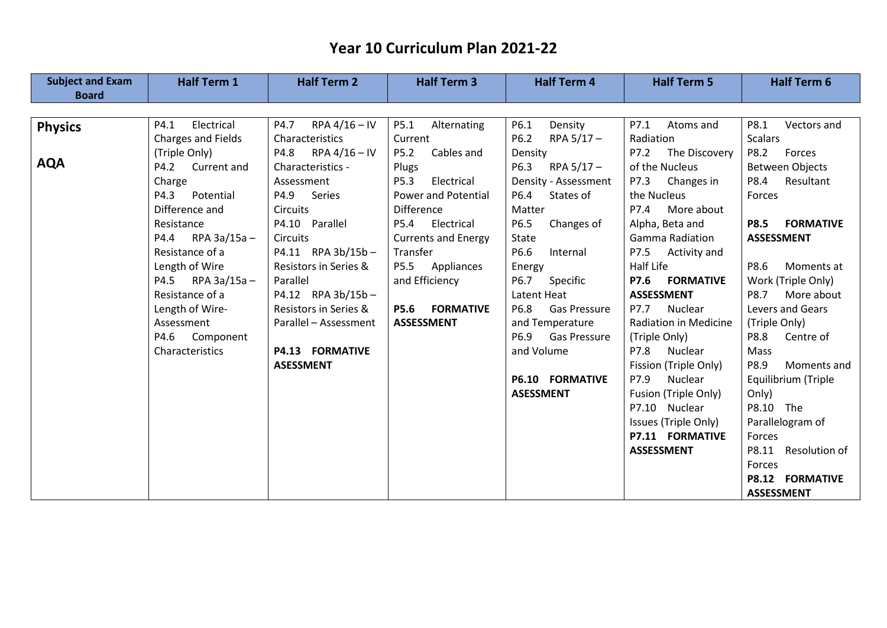| <b>Subject and Exam</b><br><b>Board</b> | <b>Half Term 1</b>  | <b>Half Term 2</b>      | <b>Half Term 3</b>         | <b>Half Term 4</b>          | <b>Half Term 5</b>           | <b>Half Term 6</b>              |
|-----------------------------------------|---------------------|-------------------------|----------------------------|-----------------------------|------------------------------|---------------------------------|
|                                         |                     |                         |                            |                             |                              |                                 |
| <b>Physics</b>                          | Electrical<br>P4.1  | RPA $4/16$ – IV<br>P4.7 | P5.1<br>Alternating        | P6.1<br>Density             | P7.1<br>Atoms and            | P8.1<br>Vectors and             |
|                                         | Charges and Fields  | Characteristics         | Current                    | P6.2 RPA $5/17 -$           | Radiation                    | <b>Scalars</b>                  |
|                                         | (Triple Only)       | P4.8 RPA $4/16 - IV$    | P5.2<br>Cables and         | Density                     | P7.2 The Discovery           | P8.2<br>Forces                  |
| <b>AQA</b>                              | P4.2 Current and    | Characteristics -       | Plugs                      | P6.3 RPA 5/17-              | of the Nucleus               | <b>Between Objects</b>          |
|                                         | Charge              | Assessment              | P5.3<br>Electrical         | Density - Assessment        | P7.3 Changes in              | P8.4 Resultant                  |
|                                         | P4.3 Potential      | P4.9 Series             | <b>Power and Potential</b> | P6.4 States of              | the Nucleus                  | Forces                          |
|                                         | Difference and      | <b>Circuits</b>         | <b>Difference</b>          | Matter                      | P7.4 More about              |                                 |
|                                         | Resistance          | P4.10 Parallel          | Electrical<br>P5.4         | P6.5<br>Changes of          | Alpha, Beta and              | <b>P8.5</b><br><b>FORMATIVE</b> |
|                                         | P4.4 RPA $3a/15a -$ | <b>Circuits</b>         | <b>Currents and Energy</b> | State                       | Gamma Radiation              | <b>ASSESSMENT</b>               |
|                                         | Resistance of a     | P4.11 RPA 3b/15b-       | Transfer                   | Internal<br>P6.6            | P7.5 Activity and            |                                 |
|                                         | Length of Wire      | Resistors in Series &   | P5.5 Appliances            | Energy                      | Half Life                    | P8.6<br>Moments at              |
|                                         | P4.5 RPA $3a/15a -$ | Parallel                | and Efficiency             | Specific<br>P6.7            | <b>P7.6 FORMATIVE</b>        | Work (Triple Only)              |
|                                         | Resistance of a     | P4.12 RPA 3b/15b-       |                            | Latent Heat                 | <b>ASSESSMENT</b>            | P8.7<br>More about              |
|                                         | Length of Wire-     | Resistors in Series &   | <b>P5.6 FORMATIVE</b>      | P6.8<br><b>Gas Pressure</b> | Nuclear<br>P7.7              | Levers and Gears                |
|                                         | Assessment          | Parallel - Assessment   | <b>ASSESSMENT</b>          | and Temperature             | <b>Radiation in Medicine</b> | (Triple Only)                   |
|                                         | P4.6 Component      |                         |                            | P6.9<br><b>Gas Pressure</b> | (Triple Only)                | P8.8<br>Centre of               |
|                                         | Characteristics     | <b>P4.13 FORMATIVE</b>  |                            | and Volume                  | P7.8 Nuclear                 | Mass                            |
|                                         |                     | <b>ASESSMENT</b>        |                            |                             | Fission (Triple Only)        | P8.9<br>Moments and             |
|                                         |                     |                         |                            | <b>P6.10 FORMATIVE</b>      | P7.9<br>Nuclear              | Equilibrium (Triple             |
|                                         |                     |                         |                            | <b>ASESSMENT</b>            | Fusion (Triple Only)         | Only)                           |
|                                         |                     |                         |                            |                             | P7.10 Nuclear                | P8.10 The                       |
|                                         |                     |                         |                            |                             | Issues (Triple Only)         | Parallelogram of                |
|                                         |                     |                         |                            |                             | P7.11 FORMATIVE              | Forces                          |
|                                         |                     |                         |                            |                             | <b>ASSESSMENT</b>            | P8.11 Resolution of             |
|                                         |                     |                         |                            |                             |                              | Forces                          |
|                                         |                     |                         |                            |                             |                              | P8.12 FORMATIVE                 |
|                                         |                     |                         |                            |                             |                              | <b>ASSESSMENT</b>               |